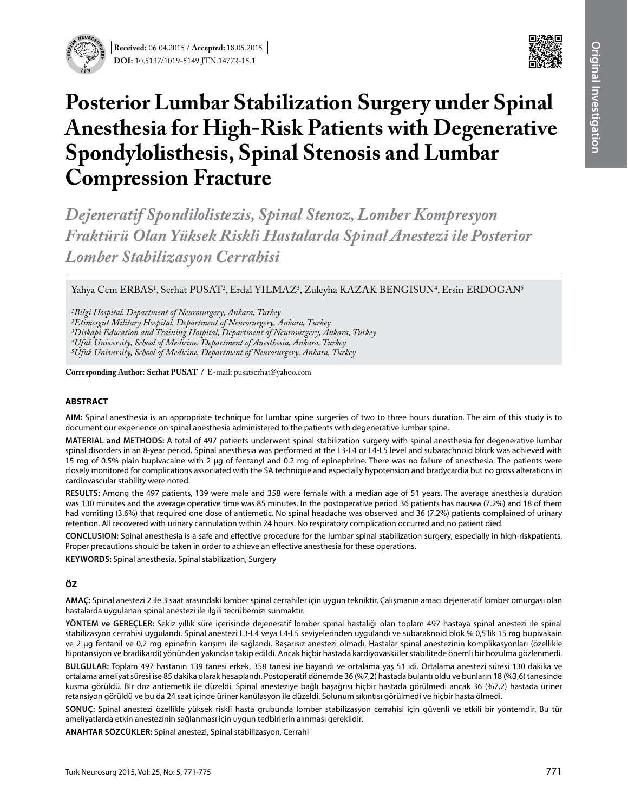



# **Posterior Lumbar Stabilization Surgery under Spinal Anesthesia for High-Risk Patients with Degenerative Spondylolisthesis, Spinal Stenosis and Lumbar Compression Fracture**

*Dejeneratif Spondilolistezis, Spinal Stenoz, Lomber Kompresyon Fraktürü Olan Yüksek Riskli Hastalarda Spinal Anestezi ile Posterior Lomber Stabilizasyon Cerrahisi*

Yahya Cem ERBAS<sup>1</sup>, Serhat PUSAT<sup>2</sup>, Erdal YILMAZ<sup>3</sup>, Zuleyha KAZAK BENGISUN<sup>4</sup>, Ersin ERDOGAN<sup>5</sup>

*1Bilgi Hospital, Department of Neurosurgery, Ankara, Turkey*

*2Etimesgut Military Hospital, Department of Neurosurgery, Ankara, Turkey*

*3Diskapi Education and Training Hospital, Department of Neurosurgery, Ankara, Turkey*

*4Ufuk University, School of Medicine, Department of Anesthesia, Ankara, Turkey*

*5Ufuk University, School of Medicine, Department of Neurosurgery, Ankara, Turkey*

**Corresponding Author: Serhat PUSAT / E-mail: pusatserhat@yahoo.com** 

## **ABSTRACT**

**AIm:** Spinal anesthesia is an appropriate technique for lumbar spine surgeries of two to three hours duration. The aim of this study is to document our experience on spinal anesthesia administered to the patients with degenerative lumbar spine.

**MaterIal and Methods:** A total of 497 patients underwent spinal stabilization surgery with spinal anesthesia for degenerative lumbar spinal disorders in an 8-year period. Spinal anesthesia was performed at the L3-L4 or L4-L5 level and subarachnoid block was achieved with 15 mg of 0.5% plain bupivacaine with 2 µg of fentanyl and 0.2 mg of epinephrine. There was no failure of anesthesia. The patients were closely monitored for complications associated with the SA technique and especially hypotension and bradycardia but no gross alterations in cardiovascular stability were noted.

**Results:** Among the 497 patients, 139 were male and 358 were female with a median age of 51 years. The average anesthesia duration was 130 minutes and the average operative time was 85 minutes. In the postoperative period 36 patients has nausea (7.2%) and 18 of them had vomiting (3.6%) that required one dose of antiemetic. No spinal headache was observed and 36 (7.2%) patients complained of urinary retention. All recovered with urinary cannulation within 24 hours. No respiratory complication occurred and no patient died.

**ConclusIon:** Spinal anesthesia is a safe and effective procedure for the lumbar spinal stabilization surgery, especially in high-riskpatients. Proper precautions should be taken in order to achieve an effective anesthesia for these operations.

**Keywords:** Spinal anesthesia, Spinal stabilization, Surgery

# **ÖZ**

**AMAÇ:** Spinal anestezi 2 ile 3 saat arasındaki lomber spinal cerrahiler için uygun tekniktir. Çalışmanın amacı dejeneratif lomber omurgası olan hastalarda uygulanan spinal anestezi ile ilgili tecrübemizi sunmaktır.

**YÖNTEM ve GEREÇLER:** Sekiz yıllık süre içerisinde dejeneratif lomber spinal hastalığı olan toplam 497 hastaya spinal anestezi ile spinal stabilizasyon cerrahisi uygulandı. Spinal anestezi L3-L4 veya L4-L5 seviyelerinden uygulandı ve subaraknoid blok % 0,5'lik 15 mg bupivakain ve 2 µg fentanil ve 0,2 mg epinefrin karışımı ile sağlandı. Başarısız anestezi olmadı. Hastalar spinal anestezinin komplikasyonları (özellikle hipotansiyon ve bradikardi) yönünden yakından takip edildi. Ancak hiçbir hastada kardiyovasküler stabilitede önemli bir bozulma gözlenmedi.

**BULGULAR:** Toplam 497 hastanın 139 tanesi erkek, 358 tanesi ise bayandı ve ortalama yaş 51 idi. Ortalama anestezi süresi 130 dakika ve ortalama ameliyat süresi ise 85 dakika olarak hesaplandı. Postoperatif dönemde 36 (%7,2) hastada bulantı oldu ve bunların 18 (%3,6) tanesinde kusma görüldü. Bir doz antiemetik ile düzeldi. Spinal anesteziye bağlı başağrısı hiçbir hastada görülmedi ancak 36 (%7,2) hastada üriner retansiyon görüldü ve bu da 24 saat içinde üriner kanülasyon ile düzeldi. Solunum sıkıntısı görülmedi ve hiçbir hasta ölmedi.

**SONUÇ:** Spinal anestezi özellikle yüksek riskli hasta grubunda lomber stabilizasyon cerrahisi için güvenli ve etkili bir yöntemdir. Bu tür ameliyatlarda etkin anestezinin sağlanması için uygun tedbirlerin alınması gereklidir.

**ANAHTAR SÖZCÜKLER:** Spinal anestezi, Spinal stabilizasyon, Cerrahi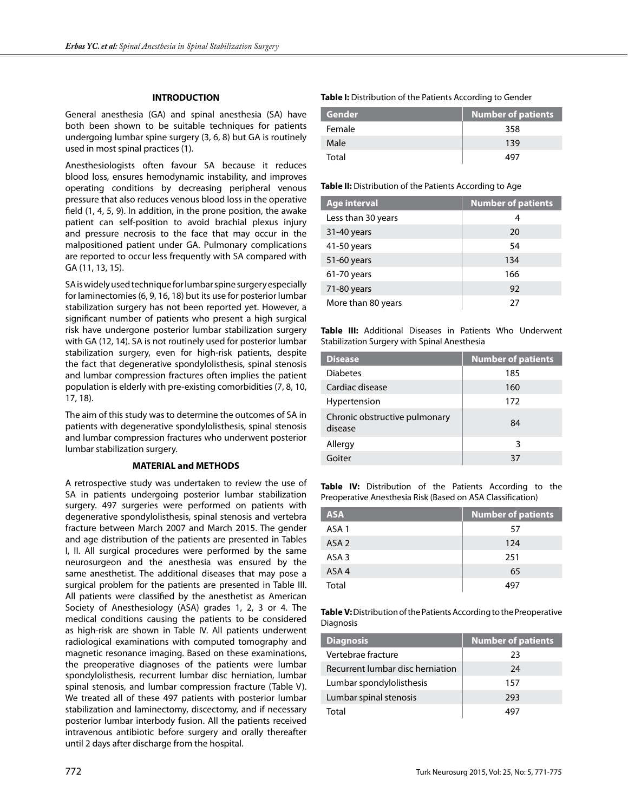## **INTRODUCTION**

General anesthesia (GA) and spinal anesthesia (SA) have both been shown to be suitable techniques for patients undergoing lumbar spine surgery (3, 6, 8) but GA is routinely used in most spinal practices (1).

Anesthesiologists often favour SA because it reduces blood loss, ensures hemodynamic instability, and improves operating conditions by decreasing peripheral venous pressure that also reduces venous blood loss in the operative field (1, 4, 5, 9). In addition, in the prone position, the awake patient can self-position to avoid brachial plexus injury and pressure necrosis to the face that may occur in the malpositioned patient under GA. Pulmonary complications are reported to occur less frequently with SA compared with GA (11, 13, 15).

SA is widely used technique for lumbar spine surgery especially for laminectomies (6, 9, 16, 18) but its use for posterior lumbar stabilization surgery has not been reported yet. However, a significant number of patients who present a high surgical risk have undergone posterior lumbar stabilization surgery with GA (12, 14). SA is not routinely used for posterior lumbar stabilization surgery, even for high-risk patients, despite the fact that degenerative spondylolisthesis, spinal stenosis and lumbar compression fractures often implies the patient population is elderly with pre-existing comorbidities (7, 8, 10, 17, 18).

The aim of this study was to determine the outcomes of SA in patients with degenerative spondylolisthesis, spinal stenosis and lumbar compression fractures who underwent posterior lumbar stabilization surgery.

#### **MATERIAL and METHODS**

A retrospective study was undertaken to review the use of SA in patients undergoing posterior lumbar stabilization surgery. 497 surgeries were performed on patients with degenerative spondylolisthesis, spinal stenosis and vertebra fracture between March 2007 and March 2015. The gender and age distribution of the patients are presented in Tables I, II. All surgical procedures were performed by the same neurosurgeon and the anesthesia was ensured by the same anesthetist. The additional diseases that may pose a surgical problem for the patients are presented in Table III. All patients were classified by the anesthetist as American Society of Anesthesiology (ASA) grades 1, 2, 3 or 4. The medical conditions causing the patients to be considered as high-risk are shown in Table IV. All patients underwent radiological examinations with computed tomography and magnetic resonance imaging. Based on these examinations, the preoperative diagnoses of the patients were lumbar spondylolisthesis, recurrent lumbar disc herniation, lumbar spinal stenosis, and lumbar compression fracture (Table V). We treated all of these 497 patients with posterior lumbar stabilization and laminectomy, discectomy, and if necessary posterior lumbar interbody fusion. All the patients received intravenous antibiotic before surgery and orally thereafter until 2 days after discharge from the hospital.

**Table I:** Distribution of the Patients According to Gender

| Gender | Number of patients |
|--------|--------------------|
| Female | 358                |
| Male   | 139                |
| Total  |                    |

#### **Table II:** Distribution of the Patients According to Age

| <b>Age interval</b> | <b>Number of patients</b> |
|---------------------|---------------------------|
| Less than 30 years  | 4                         |
| 31-40 years         | 20                        |
| 41-50 years         | 54                        |
| 51-60 years         | 134                       |
| 61-70 years         | 166                       |
| 71-80 years         | 92                        |
| More than 80 years  | 27                        |

**Table III:** Additional Diseases in Patients Who Underwent Stabilization Surgery with Spinal Anesthesia

| <b>Disease</b>                           | <b>Number of patients</b> |
|------------------------------------------|---------------------------|
| <b>Diabetes</b>                          | 185                       |
| Cardiac disease                          | 160                       |
| Hypertension                             | 172                       |
| Chronic obstructive pulmonary<br>disease | 84                        |
| Allergy                                  | 3                         |
| Goiter                                   | 37                        |

**Table IV:** Distribution of the Patients According to the Preoperative Anesthesia Risk (Based on ASA Classification)

| <b>ASA</b>       | <b>Number of patients</b> |
|------------------|---------------------------|
| ASA <sub>1</sub> | 57                        |
| ASA <sub>2</sub> | 124                       |
| ASA <sub>3</sub> | 251                       |
| ASA4             | 65                        |
| Total            | 497                       |

**Table V:** Distribution of the Patients According to the Preoperative Diagnosis

| <b>Diagnosis</b>                 | <b>Number of patients</b> |
|----------------------------------|---------------------------|
| Vertebrae fracture               | 23                        |
| Recurrent lumbar disc herniation | 24                        |
| Lumbar spondylolisthesis         | 157                       |
| Lumbar spinal stenosis           | 293                       |
| Total                            |                           |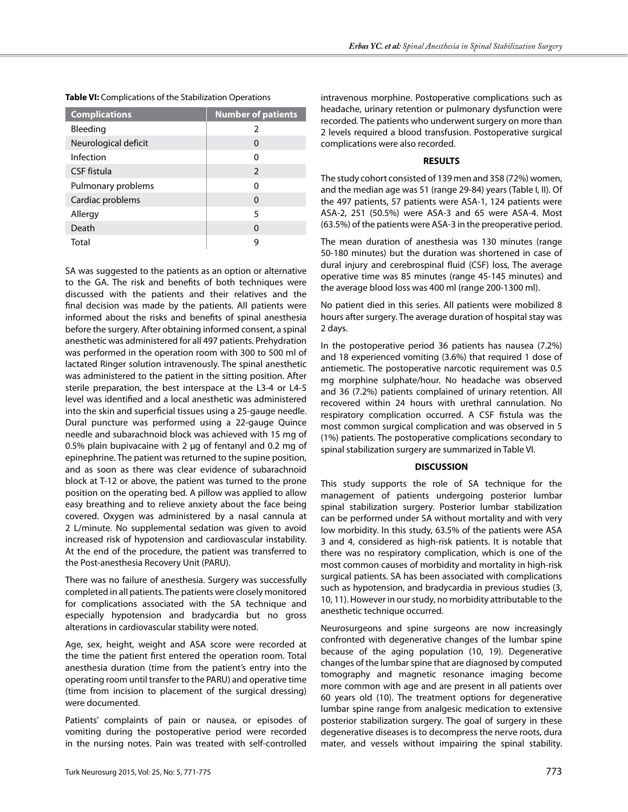| <b>Complications</b> | <b>Number of patients</b> |
|----------------------|---------------------------|
| Bleeding             | ς                         |
| Neurological deficit | 0                         |
| Infection            | ŋ                         |
| CSF fistula          | 2                         |
| Pulmonary problems   | ŋ                         |
| Cardiac problems     | 0                         |
| Allergy              | 5                         |
| Death                | 0                         |
| Total                | q                         |

**Table VI:** Complications of the Stabilization Operations

SA was suggested to the patients as an option or alternative to the GA. The risk and benefits of both techniques were discussed with the patients and their relatives and the final decision was made by the patients. All patients were informed about the risks and benefits of spinal anesthesia before the surgery. After obtaining informed consent, a spinal anesthetic was administered for all 497 patients. Prehydration was performed in the operation room with 300 to 500 ml of lactated Ringer solution intravenously. The spinal anesthetic was administered to the patient in the sitting position. After sterile preparation, the best interspace at the L3-4 or L4-5 level was identified and a local anesthetic was administered into the skin and superficial tissues using a 25-gauge needle. Dural puncture was performed using a 22-gauge Quince needle and subarachnoid block was achieved with 15 mg of 0.5% plain bupivacaine with 2  $\mu$ g of fentanyl and 0.2 mg of epinephrine. The patient was returned to the supine position, and as soon as there was clear evidence of subarachnoid block at T-12 or above, the patient was turned to the prone position on the operating bed. A pillow was applied to allow easy breathing and to relieve anxiety about the face being covered. Oxygen was administered by a nasal cannula at 2 L/minute. No supplemental sedation was given to avoid increased risk of hypotension and cardiovascular instability. At the end of the procedure, the patient was transferred to the Post-anesthesia Recovery Unit (PARU).

There was no failure of anesthesia. Surgery was successfully completed in all patients. The patients were closely monitored for complications associated with the SA technique and especially hypotension and bradycardia but no gross alterations in cardiovascular stability were noted.

Age, sex, height, weight and ASA score were recorded at the time the patient first entered the operation room. Total anesthesia duration (time from the patient's entry into the operating room until transfer to the PARU) and operative time (time from incision to placement of the surgical dressing) were documented.

Patients' complaints of pain or nausea, or episodes of vomiting during the postoperative period were recorded in the nursing notes. Pain was treated with self-controlled intravenous morphine. Postoperative complications such as headache, urinary retention or pulmonary dysfunction were recorded. The patients who underwent surgery on more than 2 levels required a blood transfusion. Postoperative surgical complications were also recorded.

## **RESULTS**

The study cohort consisted of 139 men and 358 (72%) women, and the median age was 51 (range 29-84) years (Table I, II). Of the 497 patients, 57 patients were ASA-1, 124 patients were ASA-2, 251 (50.5%) were ASA-3 and 65 were ASA-4. Most (63.5%) of the patients were ASA-3 in the preoperative period.

The mean duration of anesthesia was 130 minutes (range 50-180 minutes) but the duration was shortened in case of dural injury and cerebrospinal fluid (CSF) loss, The average operative time was 85 minutes (range 45-145 minutes) and the average blood loss was 400 ml (range 200-1300 ml).

No patient died in this series. All patients were mobilized 8 hours after surgery. The average duration of hospital stay was 2 days.

In the postoperative period 36 patients has nausea (7.2%) and 18 experienced vomiting (3.6%) that required 1 dose of antiemetic. The postoperative narcotic requirement was 0.5 mg morphine sulphate/hour. No headache was observed and 36 (7.2%) patients complained of urinary retention. All recovered within 24 hours with urethral cannulation. No respiratory complication occurred. A CSF fistula was the most common surgical complication and was observed in 5 (1%) patients. The postoperative complications secondary to spinal stabilization surgery are summarized in Table VI.

## **DISCUSSION**

This study supports the role of SA technique for the management of patients undergoing posterior lumbar spinal stabilization surgery. Posterior lumbar stabilization can be performed under SA without mortality and with very low morbidity. In this study, 63.5% of the patients were ASA 3 and 4, considered as high-risk patients. It is notable that there was no respiratory complication, which is one of the most common causes of morbidity and mortality in high-risk surgical patients. SA has been associated with complications such as hypotension, and bradycardia in previous studies (3, 10, 11). However in our study, no morbidity attributable to the anesthetic technique occurred.

Neurosurgeons and spine surgeons are now increasingly confronted with degenerative changes of the lumbar spine because of the aging population (10, 19). Degenerative changes of the lumbar spine that are diagnosed by computed tomography and magnetic resonance imaging become more common with age and are present in all patients over 60 years old (10). The treatment options for degenerative lumbar spine range from analgesic medication to extensive posterior stabilization surgery. The goal of surgery in these degenerative diseases is to decompress the nerve roots, dura mater, and vessels without impairing the spinal stability.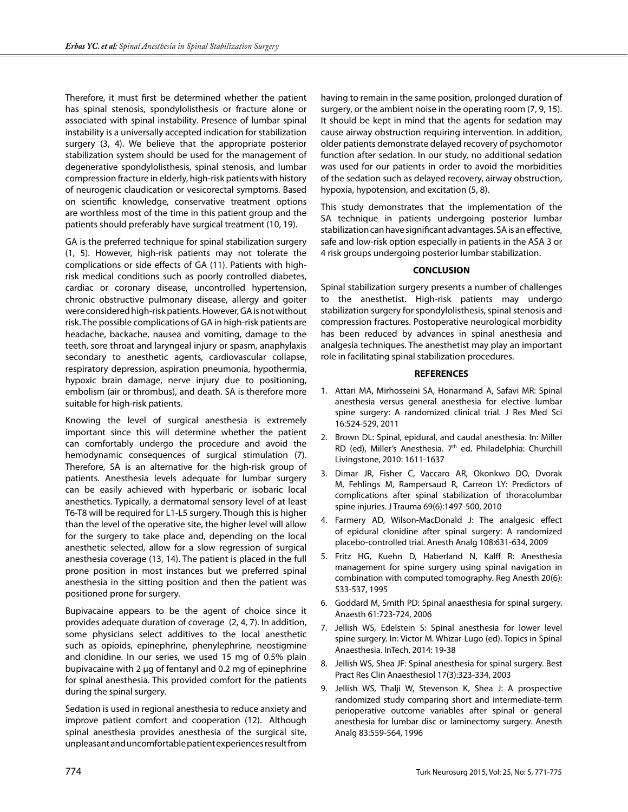Therefore, it must first be determined whether the patient has spinal stenosis, spondylolisthesis or fracture alone or associated with spinal instability. Presence of lumbar spinal instability is a universally accepted indication for stabilization surgery (3, 4). We believe that the appropriate posterior stabilization system should be used for the management of degenerative spondylolisthesis, spinal stenosis, and lumbar compression fracture in elderly, high-risk patients with history of neurogenic claudication or vesicorectal symptoms. Based on scientific knowledge, conservative treatment options are worthless most of the time in this patient group and the patients should preferably have surgical treatment (10, 19).

GA is the preferred technique for spinal stabilization surgery (1, 5). However, high-risk patients may not tolerate the complications or side effects of GA (11). Patients with highrisk medical conditions such as poorly controlled diabetes, cardiac or coronary disease, uncontrolled hypertension, chronic obstructive pulmonary disease, allergy and goiter were considered high-risk patients. However, GA is not without risk. The possible complications of GA in high-risk patients are headache, backache, nausea and vomiting, damage to the teeth, sore throat and laryngeal injury or spasm, anaphylaxis secondary to anesthetic agents, cardiovascular collapse, respiratory depression, aspiration pneumonia, hypothermia, hypoxic brain damage, nerve injury due to positioning, embolism (air or thrombus), and death. SA is therefore more suitable for high-risk patients.

Knowing the level of surgical anesthesia is extremely important since this will determine whether the patient can comfortably undergo the procedure and avoid the hemodynamic consequences of surgical stimulation (7). Therefore, SA is an alternative for the high-risk group of patients. Anesthesia levels adequate for lumbar surgery can be easily achieved with hyperbaric or isobaric local anesthetics. Typically, a dermatomal sensory level of at least T6-T8 will be required for L1-L5 surgery. Though this is higher than the level of the operative site, the higher level will allow for the surgery to take place and, depending on the local anesthetic selected, allow for a slow regression of surgical anesthesia coverage (13, 14). The patient is placed in the full prone position in most instances but we preferred spinal anesthesia in the sitting position and then the patient was positioned prone for surgery.

Bupivacaine appears to be the agent of choice since it provides adequate duration of coverage (2, 4, 7). In addition, some physicians select additives to the local anesthetic such as opioids, epinephrine, phenylephrine, neostigmine and clonidine. In our series, we used 15 mg of 0.5% plain bupivacaine with 2 µg of fentanyl and 0.2 mg of epinephrine for spinal anesthesia. This provided comfort for the patients during the spinal surgery.

Sedation is used in regional anesthesia to reduce anxiety and improve patient comfort and cooperation (12). Although spinal anesthesia provides anesthesia of the surgical site, unpleasant and uncomfortable patient experiences result from having to remain in the same position, prolonged duration of surgery, or the ambient noise in the operating room (7, 9, 15). It should be kept in mind that the agents for sedation may cause airway obstruction requiring intervention. In addition, older patients demonstrate delayed recovery of psychomotor function after sedation. In our study, no additional sedation was used for our patients in order to avoid the morbidities of the sedation such as delayed recovery, airway obstruction, hypoxia, hypotension, and excitation (5, 8).

This study demonstrates that the implementation of the SA technique in patients undergoing posterior lumbar stabilization can have significant advantages. SA is an effective, safe and low-risk option especially in patients in the ASA 3 or 4 risk groups undergoing posterior lumbar stabilization.

# **CONCLUSION**

Spinal stabilization surgery presents a number of challenges to the anesthetist. High-risk patients may undergo stabilization surgery for spondylolisthesis, spinal stenosis and compression fractures. Postoperative neurological morbidity has been reduced by advances in spinal anesthesia and analgesia techniques. The anesthetist may play an important role in facilitating spinal stabilization procedures.

# **REFERENCES**

- 1. Attari MA, Mirhosseini SA, Honarmand A, Safavi MR: Spinal anesthesia versus general anesthesia for elective lumbar spine surgery: A randomized clinical trial. J Res Med Sci 16:524-529, 2011
- 2. Brown DL: Spinal, epidural, and caudal anesthesia. In: Miller RD (ed), Miller's Anesthesia. 7<sup>th</sup> ed. Philadelphia: Churchill Livingstone, 2010: 1611-1637
- 3. Dimar JR, Fisher C, Vaccaro AR, Okonkwo DO, Dvorak M, Fehlings M, Rampersaud R, Carreon LY: Predictors of complications after spinal stabilization of thoracolumbar spine injuries. J Trauma 69(6):1497-500, 2010
- 4. Farmery AD, Wilson-MacDonald J: The analgesic effect of epidural clonidine after spinal surgery: A randomized placebo-controlled trial. Anesth Analg 108:631-634, 2009
- 5. Fritz HG, Kuehn D, Haberland N, Kalff R: Anesthesia management for spine surgery using spinal navigation in combination with computed tomography. Reg Anesth 20(6): 533-537, 1995
- 6. Goddard M, Smith PD: Spinal anaesthesia for spinal surgery. Anaesth 61:723-724, 2006
- 7. Jellish WS, Edelstein S: Spinal anesthesia for lower level spine surgery. In: Victor M. Whizar-Lugo (ed). Topics in Spinal Anaesthesia. InTech, 2014: 19-38
- 8. Jellish WS, Shea JF: Spinal anesthesia for spinal surgery. Best Pract Res Clin Anaesthesiol 17(3):323-334, 2003
- 9. Jellish WS, Thalji W, Stevenson K, Shea J: A prospective randomized study comparing short and intermediate-term perioperative outcome variables after spinal or general anesthesia for lumbar disc or laminectomy surgery. Anesth Analg 83:559-564, 1996